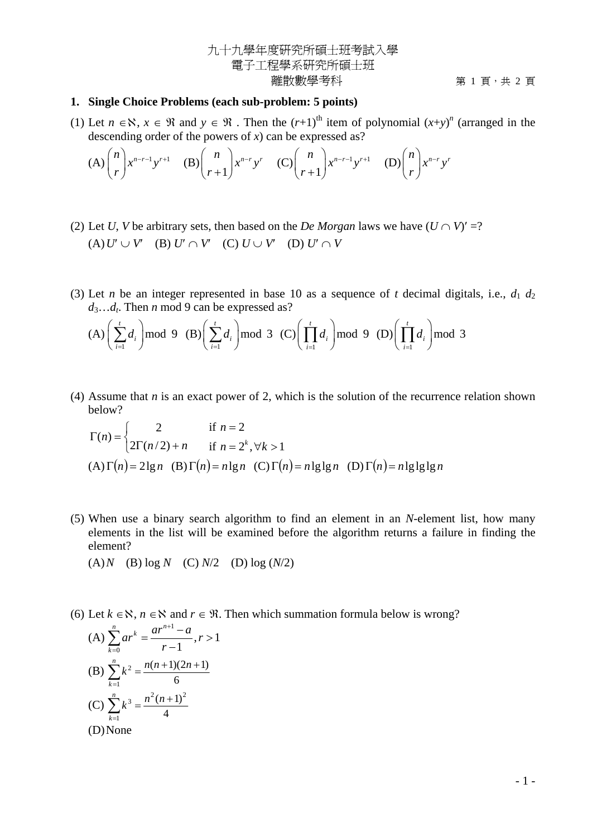## 九十九學年度研究所碩士班考試入學 電子工程學系研究所碩士班 離散數學考科 第 1 頁,共 2 頁

## **1. Single Choice Problems (each sub-problem: 5 points)**

- (1) Let  $n \in \mathbb{N}$ ,  $x \in \mathbb{R}$  and  $y \in \mathbb{R}$ . Then the  $(r+1)^{th}$  item of polynomial  $(x+y)^n$  (arranged in the descending order of the powers of *x*) can be expressed as?
	- $(A)$ <sup> $\binom{n}{x^{n-r-1}y^{r+1}}$ </sup>  $\binom{n}{r} x^{n-r-1} y^{r+1}$  (B)  $\binom{n}{r+1}$  $\int x^{n-r} y^r$  $\binom{n}{r+1} x^{n-r} y^r$   $\n(C) \binom{n}{r+1} x^{n-r-1} y^{r+1}$ 1  $\binom{n}{x}$   $x^{n-r-1}y^r$  $\binom{n}{r+1} x^{n-r-1} y^{r+1}$   $(D) \binom{n}{r} x^{n-r} y^r$  $\binom{n}{r}x^{n-r}$
- (2) Let *U*, *V* be arbitrary sets, then based on the *De Morgan* laws we have  $(U \cap V)' = ?$  $(A) U' \cup V'$  (B)  $U' \cap V'$  (C)  $U \cup V'$  (D)  $U' \cap V'$
- (3) Let *n* be an integer represented in base 10 as a sequence of *t* decimal digitals, i.e.,  $d_1 d_2$  $d_3...d_t$ . Then *n* mod 9 can be expressed as?

$$
(A) \left(\sum_{i=1}^{t} d_i\right) \mod 9 \quad (B) \left(\sum_{i=1}^{t} d_i\right) \mod 3 \quad (C) \left(\prod_{i=1}^{t} d_i\right) \mod 9 \quad (D) \left(\prod_{i=1}^{t} d_i\right) \mod 3
$$

(4) Assume that *n* is an exact power of 2, which is the solution of the recurrence relation shown below?

$$
\Gamma(n) = \begin{cases}\n2 & \text{if } n = 2 \\
2\Gamma(n/2) + n & \text{if } n = 2^k, \forall k > 1\n\end{cases}
$$
\n
$$
(A) \Gamma(n) = 2\lg n \quad (B) \Gamma(n) = n\lg n \quad (C) \Gamma(n) = n\lg \lg n \quad (D) \Gamma(n) = n\lg \lg n
$$

- (5) When use a binary search algorithm to find an element in an *N*-element list, how many elements in the list will be examined before the algorithm returns a failure in finding the element?
	- (A)*N* (B) log *N* (C) *N*/2 (D) log (*N*/2)
- (6) Let  $k \in \mathbb{N}$ ,  $n \in \mathbb{N}$  and  $r \in \mathbb{N}$ . Then which summation formula below is wrong?

(A) 
$$
\sum_{k=0}^{n} ar^{k} = \frac{ar^{n+1} - a}{r - 1}, r > 1
$$
  
\n(B) 
$$
\sum_{k=1}^{n} k^{2} = \frac{n(n+1)(2n+1)}{6}
$$
  
\n(C) 
$$
\sum_{k=1}^{n} k^{3} = \frac{n^{2}(n+1)^{2}}{4}
$$
  
\n(D) None